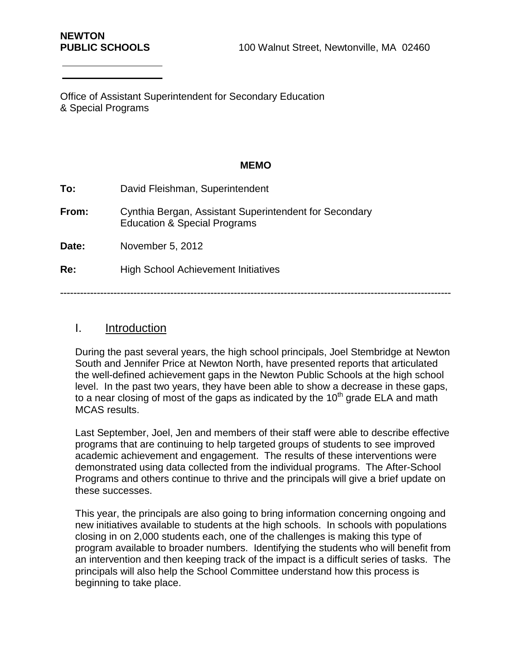Office of Assistant Superintendent for Secondary Education & Special Programs

#### **MEMO**

| To:   | David Fleishman, Superintendent                                                                   |
|-------|---------------------------------------------------------------------------------------------------|
| From: | Cynthia Bergan, Assistant Superintendent for Secondary<br><b>Education &amp; Special Programs</b> |
| Date: | November 5, 2012                                                                                  |
| Re:   | <b>High School Achievement Initiatives</b>                                                        |
|       |                                                                                                   |

# I. Introduction

During the past several years, the high school principals, Joel Stembridge at Newton South and Jennifer Price at Newton North, have presented reports that articulated the well-defined achievement gaps in the Newton Public Schools at the high school level. In the past two years, they have been able to show a decrease in these gaps, to a near closing of most of the gaps as indicated by the  $10<sup>th</sup>$  grade ELA and math MCAS results.

Last September, Joel, Jen and members of their staff were able to describe effective programs that are continuing to help targeted groups of students to see improved academic achievement and engagement. The results of these interventions were demonstrated using data collected from the individual programs. The After-School Programs and others continue to thrive and the principals will give a brief update on these successes.

This year, the principals are also going to bring information concerning ongoing and new initiatives available to students at the high schools. In schools with populations closing in on 2,000 students each, one of the challenges is making this type of program available to broader numbers. Identifying the students who will benefit from an intervention and then keeping track of the impact is a difficult series of tasks. The principals will also help the School Committee understand how this process is beginning to take place.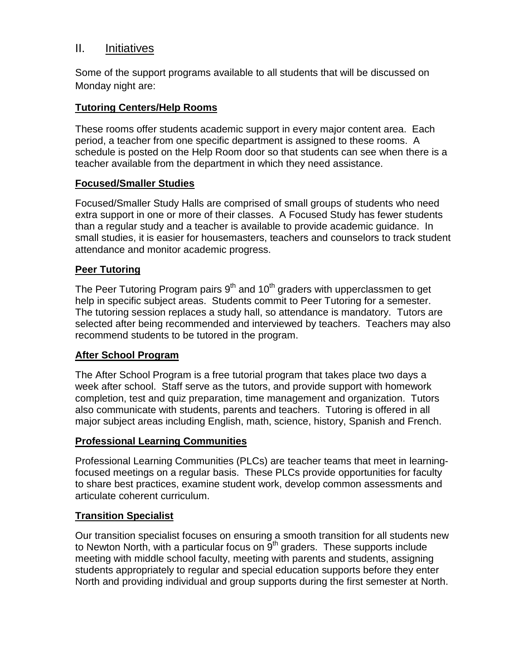# II. Initiatives

Some of the support programs available to all students that will be discussed on Monday night are:

### **Tutoring Centers/Help Rooms**

These rooms offer students academic support in every major content area. Each period, a teacher from one specific department is assigned to these rooms. A schedule is posted on the Help Room door so that students can see when there is a teacher available from the department in which they need assistance.

### **Focused/Smaller Studies**

Focused/Smaller Study Halls are comprised of small groups of students who need extra support in one or more of their classes. A Focused Study has fewer students than a regular study and a teacher is available to provide academic guidance. In small studies, it is easier for housemasters, teachers and counselors to track student attendance and monitor academic progress.

### **Peer Tutoring**

The Peer Tutoring Program pairs  $9<sup>th</sup>$  and 10<sup>th</sup> graders with upperclassmen to get help in specific subject areas. Students commit to Peer Tutoring for a semester. The tutoring session replaces a study hall, so attendance is mandatory. Tutors are selected after being recommended and interviewed by teachers. Teachers may also recommend students to be tutored in the program.

### **After School Program**

The After School Program is a free tutorial program that takes place two days a week after school. Staff serve as the tutors, and provide support with homework completion, test and quiz preparation, time management and organization. Tutors also communicate with students, parents and teachers. Tutoring is offered in all major subject areas including English, math, science, history, Spanish and French.

### **Professional Learning Communities**

Professional Learning Communities (PLCs) are teacher teams that meet in learningfocused meetings on a regular basis. These PLCs provide opportunities for faculty to share best practices, examine student work, develop common assessments and articulate coherent curriculum.

### **Transition Specialist**

Our transition specialist focuses on ensuring a smooth transition for all students new to Newton North, with a particular focus on  $9<sup>th</sup>$  graders. These supports include meeting with middle school faculty, meeting with parents and students, assigning students appropriately to regular and special education supports before they enter North and providing individual and group supports during the first semester at North.